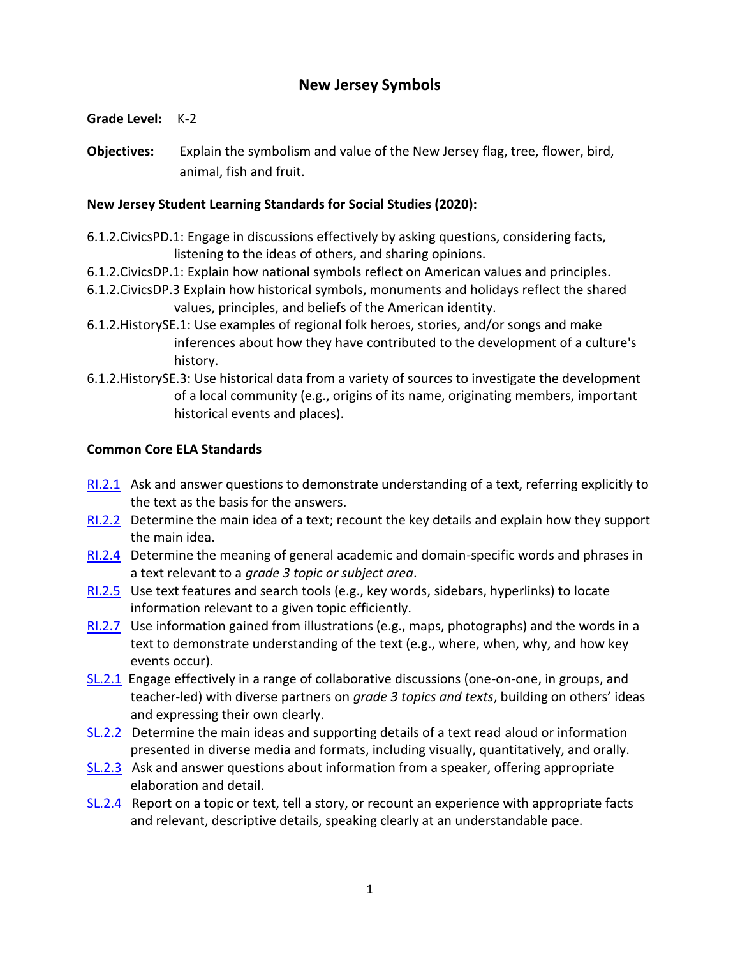# **New Jersey Symbols**

**Grade Level:** K-2

**Objectives:** Explain the symbolism and value of the New Jersey flag, tree, flower, bird, animal, fish and fruit.

# **New Jersey Student Learning Standards for Social Studies (2020):**

- 6.1.2.CivicsPD.1: Engage in discussions effectively by asking questions, considering facts, listening to the ideas of others, and sharing opinions.
- 6.1.2.CivicsDP.1: Explain how national symbols reflect on American values and principles.
- 6.1.2.CivicsDP.3 Explain how historical symbols, monuments and holidays reflect the shared values, principles, and beliefs of the American identity.
- 6.1.2.HistorySE.1: Use examples of regional folk heroes, stories, and/or songs and make inferences about how they have contributed to the development of a culture's history.
- 6.1.2.HistorySE.3: Use historical data from a variety of sources to investigate the development of a local community (e.g., origins of its name, originating members, important historical events and places).

# **Common Core ELA Standards**

- [RI.2.1](http://www.corestandards.org/ELA-Literacy/RI/3/1/) Ask and answer questions to demonstrate understanding of a text, referring explicitly to the text as the basis for the answers.
- [RI.2.2](http://www.corestandards.org/ELA-Literacy/RI/3/2/) Determine the main idea of a text; recount the key details and explain how they support the main idea.
- [RI.2.4](http://www.corestandards.org/ELA-Literacy/RI/3/4/) Determine the meaning of general academic and domain-specific words and phrases in a text relevant to a *grade 3 topic or subject area*.
- [RI.2.5](http://www.corestandards.org/ELA-Literacy/RI/3/5/) Use text features and search tools (e.g., key words, sidebars, hyperlinks) to locate information relevant to a given topic efficiently.
- [RI.2.7](http://www.corestandards.org/ELA-Literacy/RI/3/7/) Use information gained from illustrations (e.g., maps, photographs) and the words in a text to demonstrate understanding of the text (e.g., where, when, why, and how key events occur).
- [SL.2.1](http://www.corestandards.org/ELA-Literacy/SL/3/1/) Engage effectively in a range of collaborative discussions (one-on-one, in groups, and teacher-led) with diverse partners on *grade 3 topics and texts*, building on others' ideas and expressing their own clearly.
- [SL.2.2](http://www.corestandards.org/ELA-Literacy/SL/3/2/) Determine the main ideas and supporting details of a text read aloud or information presented in diverse media and formats, including visually, quantitatively, and orally.
- [SL.2.3](http://www.corestandards.org/ELA-Literacy/SL/3/3/) Ask and answer questions about information from a speaker, offering appropriate elaboration and detail.
- [SL.2.4](http://www.corestandards.org/ELA-Literacy/SL/3/4/) Report on a topic or text, tell a story, or recount an experience with appropriate facts and relevant, descriptive details, speaking clearly at an understandable pace.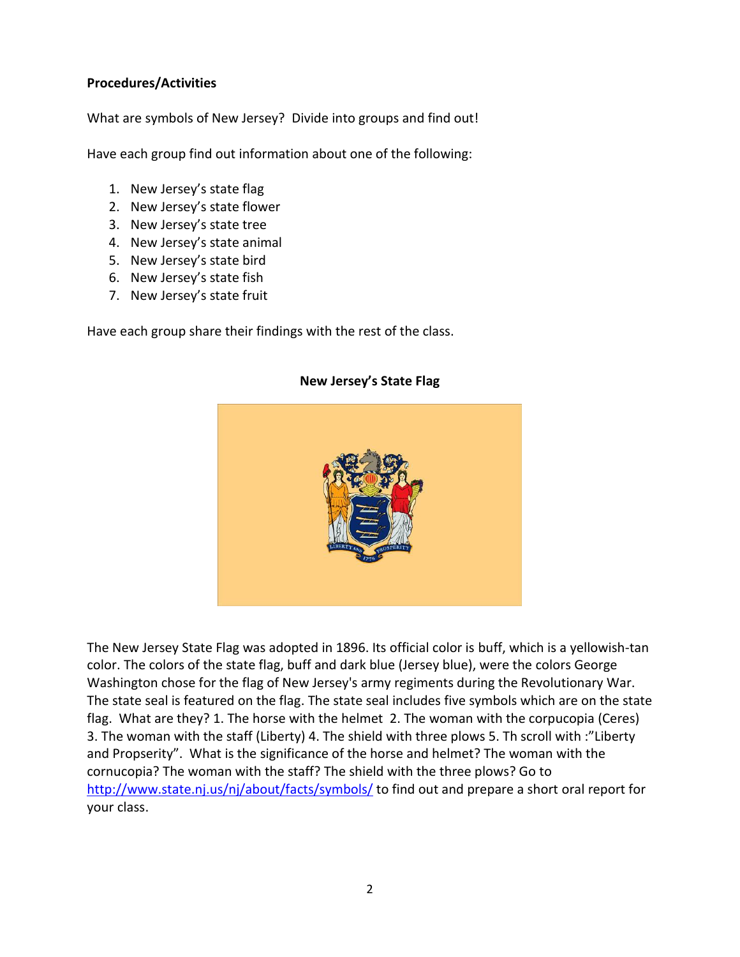## **Procedures/Activities**

What are symbols of New Jersey? Divide into groups and find out!

Have each group find out information about one of the following:

- 1. New Jersey's state flag
- 2. New Jersey's state flower
- 3. New Jersey's state tree
- 4. New Jersey's state animal
- 5. New Jersey's state bird
- 6. New Jersey's state fish
- 7. New Jersey's state fruit

Have each group share their findings with the rest of the class.

## **New Jersey's State Flag**

The New Jersey State Flag was adopted in 1896. Its official color is buff, which is a yellowish-tan color. The colors of the state flag, buff and dark blue (Jersey blue), were the colors George Washington chose for the flag of New Jersey's army regiments during the Revolutionary War. The state seal is featured on the flag. The state seal includes five symbols which are on the state flag. What are they? 1. The horse with the helmet 2. The woman with the corpucopia (Ceres) 3. The woman with the staff (Liberty) 4. The shield with three plows 5. Th scroll with :"Liberty and Propserity". What is the significance of the horse and helmet? The woman with the cornucopia? The woman with the staff? The shield with the three plows? Go to <http://www.state.nj.us/nj/about/facts/symbols/> to find out and prepare a short oral report for your class.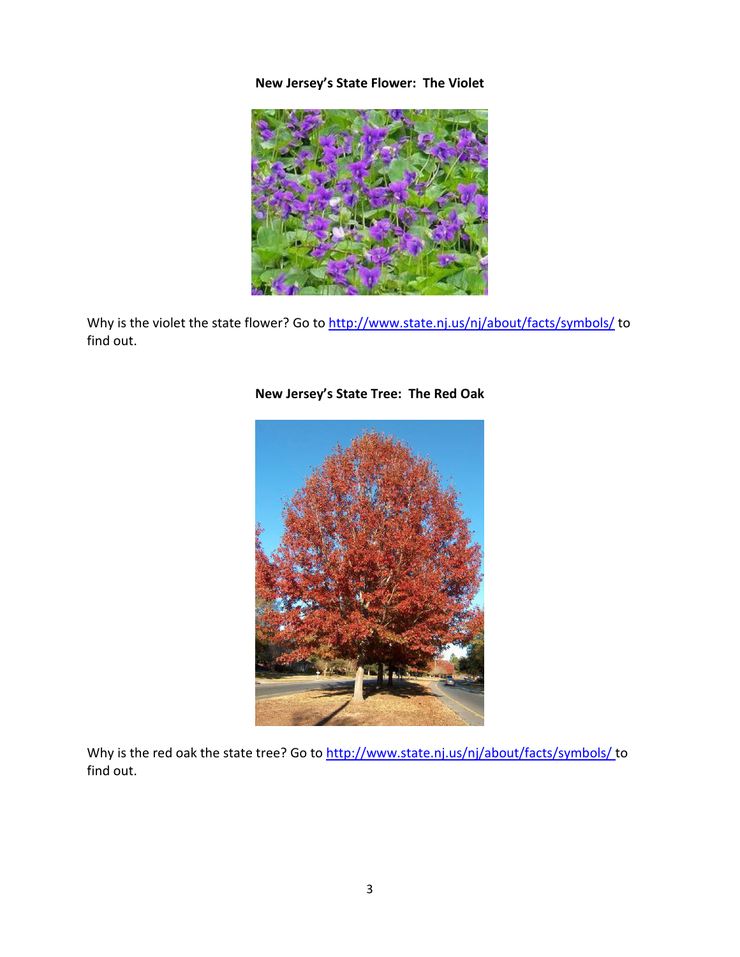# **New Jersey's State Flower: The Violet**



Why is the violet the state flower? Go to<http://www.state.nj.us/nj/about/facts/symbols/> to find out.



# **New Jersey's State Tree: The Red Oak**

Why is the red oak the state tree? Go to<http://www.state.nj.us/nj/about/facts/symbols/> to find out.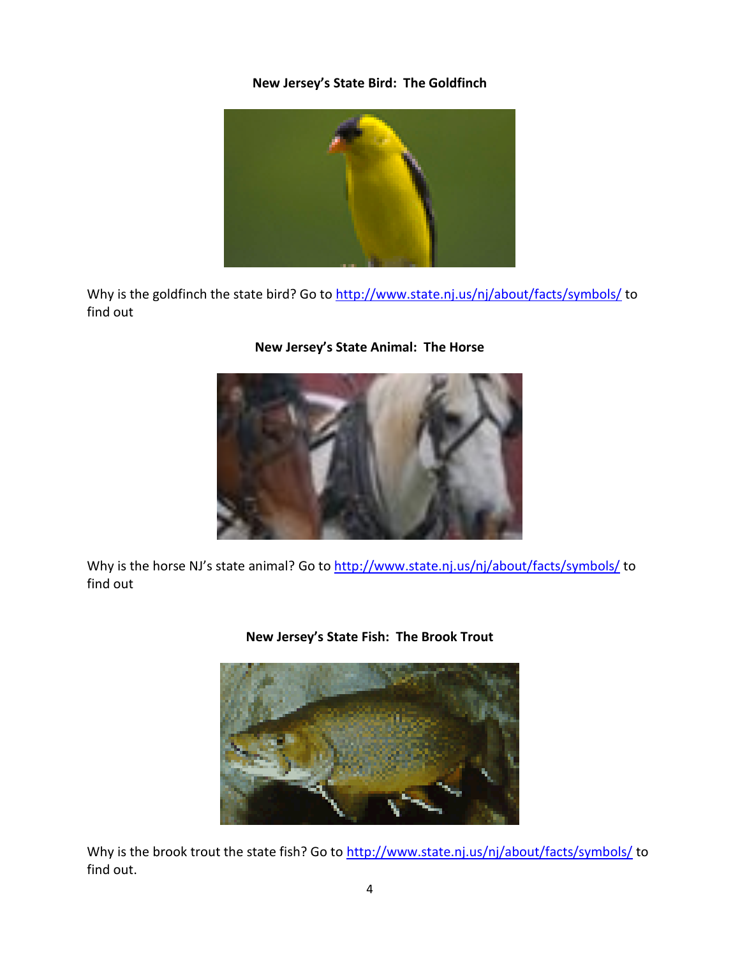# **New Jersey's State Bird: The Goldfinch**



Why is the goldfinch the state bird? Go to<http://www.state.nj.us/nj/about/facts/symbols/> to find out



# **New Jersey's State Animal: The Horse**

Why is the horse NJ's state animal? Go to<http://www.state.nj.us/nj/about/facts/symbols/> to find out



### **New Jersey's State Fish: The Brook Trout**

Why is the brook trout the state fish? Go to<http://www.state.nj.us/nj/about/facts/symbols/> to find out.